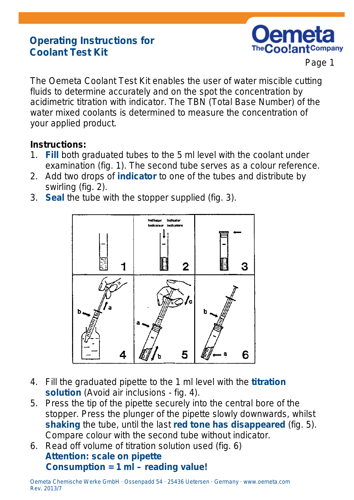# **Operating Instructions for Coolant Test Kit**



Page 1

The Oemeta Coolant Test Kit enables the user of water miscible cutting fluids to determine accurately and on the spot the concentration by acidimetric titration with indicator. The TBN (Total Base Number) of the water mixed coolants is determined to measure the concentration of your applied product.

#### **Instructions:**

- 1. **Fill** both graduated tubes to the 5 ml level with the coolant under examination (fig. 1). The second tube serves as a colour reference.
- 2. Add two drops of **indicator** to one of the tubes and distribute by swirling (fig. 2).
- 3. **Seal** the tube with the stopper supplied (fig. 3).



- 4. Fill the graduated pipette to the 1 ml level with the **titration solution** (Avoid air inclusions - fig. 4).
- 5. Press the tip of the pipette securely into the central bore of the stopper. Press the plunger of the pipette slowly downwards, whilst **shaking** the tube, until the last **red tone has disappeared** (fig. 5). Compare colour with the second tube without indicator.
- 6. Read off volume of titration solution used (fig. 6) **Attention: scale on pipette Consumption = 1 ml – reading value!**

Oemeta Chemische Werke GmbH · Ossenpadd 54 · 25436 Uetersen · Germany [· www.oemeta.com](http://www.oemeta.com/) Rev. 2013/7